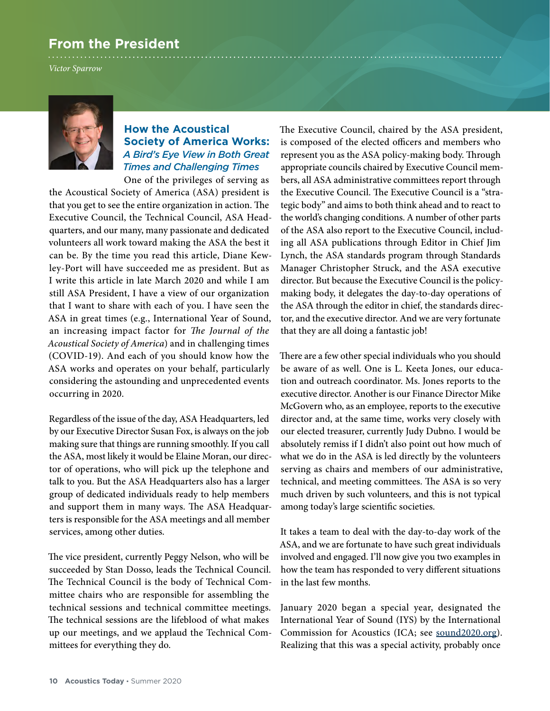# **From the President**

*Victor Sparrow*



# **How the Acoustical Society of America Works:**  *A Bird's Eye View in Both Great Times and Challenging Times*

One of the privileges of serving as the Acoustical Society of America (ASA) president is that you get to see the entire organization in action. The Executive Council, the Technical Council, ASA Headquarters, and our many, many passionate and dedicated volunteers all work toward making the ASA the best it can be. By the time you read this article, Diane Kewley-Port will have succeeded me as president. But as I write this article in late March 2020 and while I am still ASA President, I have a view of our organization that I want to share with each of you. I have seen the ASA in great times (e.g., International Year of Sound, an increasing impact factor for *The Journal of the Acoustical Society of America*) and in challenging times (COVID-19). And each of you should know how the ASA works and operates on your behalf, particularly considering the astounding and unprecedented events occurring in 2020.

Regardless of the issue of the day, ASA Headquarters, led by our Executive Director Susan Fox, is always on the job making sure that things are running smoothly. If you call the ASA, most likely it would be Elaine Moran, our director of operations, who will pick up the telephone and talk to you. But the ASA Headquarters also has a larger group of dedicated individuals ready to help members and support them in many ways. The ASA Headquarters is responsible for the ASA meetings and all member services, among other duties.

The vice president, currently Peggy Nelson, who will be succeeded by Stan Dosso, leads the Technical Council. The Technical Council is the body of Technical Committee chairs who are responsible for assembling the technical sessions and technical committee meetings. The technical sessions are the lifeblood of what makes up our meetings, and we applaud the Technical Committees for everything they do.

The Executive Council, chaired by the ASA president, is composed of the elected officers and members who represent you as the ASA policy-making body. Through appropriate councils chaired by Executive Council members, all ASA administrative committees report through the Executive Council. The Executive Council is a "strategic body" and aims to both think ahead and to react to the world's changing conditions. A number of other parts of the ASA also report to the Executive Council, including all ASA publications through Editor in Chief Jim Lynch, the ASA standards program through Standards Manager Christopher Struck, and the ASA executive director. But because the Executive Council is the policymaking body, it delegates the day-to-day operations of the ASA through the editor in chief, the standards director, and the executive director. And we are very fortunate that they are all doing a fantastic job!

There are a few other special individuals who you should be aware of as well. One is L. Keeta Jones, our education and outreach coordinator. Ms. Jones reports to the executive director. Another is our Finance Director Mike McGovern who, as an employee, reports to the executive director and, at the same time, works very closely with our elected treasurer, currently Judy Dubno. I would be absolutely remiss if I didn't also point out how much of what we do in the ASA is led directly by the volunteers serving as chairs and members of our administrative, technical, and meeting committees. The ASA is so very much driven by such volunteers, and this is not typical among today's large scientific societies.

It takes a team to deal with the day-to-day work of the ASA, and we are fortunate to have such great individuals involved and engaged. I'll now give you two examples in how the team has responded to very different situations in the last few months.

January 2020 began a special year, designated the International Year of Sound (IYS) by the International Commission for Acoustics (ICA; see [sound2020.org](http://sound2020.org)). Realizing that this was a special activity, probably once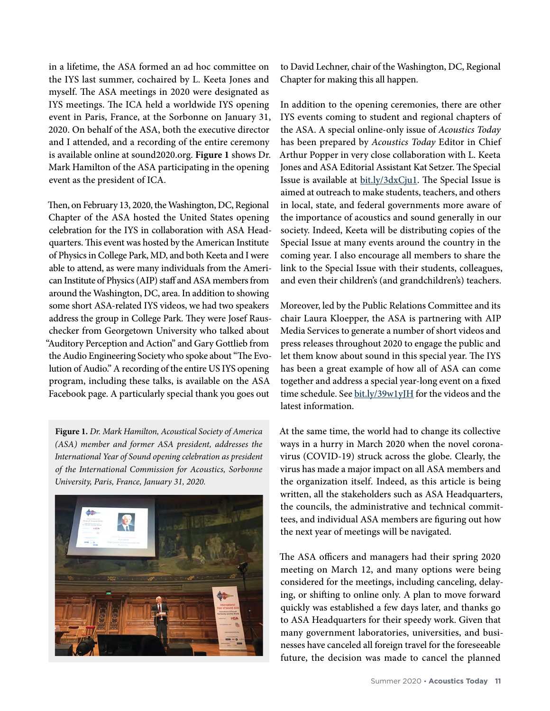in a lifetime, the ASA formed an ad hoc committee on the IYS last summer, cochaired by L. Keeta Jones and myself. The ASA meetings in 2020 were designated as IYS meetings. The ICA held a worldwide IYS opening event in Paris, France, at the Sorbonne on January 31, 2020. On behalf of the ASA, both the executive director and I attended, and a recording of the entire ceremony is available online at sound2020.org. **Figure 1** shows Dr. Mark Hamilton of the ASA participating in the opening event as the president of ICA.

Then, on February 13, 2020, the Washington, DC, Regional Chapter of the ASA hosted the United States opening celebration for the IYS in collaboration with ASA Headquarters. This event was hosted by the American Institute of Physics in College Park, MD, and both Keeta and I were able to attend, as were many individuals from the American Institute of Physics (AIP) staff and ASA members from around the Washington, DC, area. In addition to showing some short ASA-related IYS videos, we had two speakers address the group in College Park. They were Josef Rauschecker from Georgetown University who talked about "Auditory Perception and Action" and Gary Gottlieb from the Audio Engineering Society who spoke about "The Evolution of Audio." A recording of the entire US IYS opening program, including these talks, is available on the ASA Facebook page. A particularly special thank you goes out

**Figure 1.** *Dr. Mark Hamilton, Acoustical Society of America (ASA) member and former ASA president, addresses the International Year of Sound opening celebration as president of the International Commission for Acoustics, Sorbonne University, Paris, France, January 31, 2020.*



to David Lechner, chair of the Washington, DC, Regional Chapter for making this all happen.

In addition to the opening ceremonies, there are other IYS events coming to student and regional chapters of the ASA. A special online-only issue of *Acoustics Today* has been prepared by *Acoustics Today* Editor in Chief Arthur Popper in very close collaboration with L. Keeta Jones and ASA Editorial Assistant Kat Setzer. The Special Issue is available at [bit.ly/3dxCju1.](http://bit.ly/3dxCju1) The Special Issue is aimed at outreach to make students, teachers, and others in local, state, and federal governments more aware of the importance of acoustics and sound generally in our society. Indeed, Keeta will be distributing copies of the Special Issue at many events around the country in the coming year. I also encourage all members to share the link to the Special Issue with their students, colleagues, and even their children's (and grandchildren's) teachers.

Moreover, led by the Public Relations Committee and its chair Laura Kloepper, the ASA is partnering with AIP Media Services to generate a number of short videos and press releases throughout 2020 to engage the public and let them know about sound in this special year. The IYS has been a great example of how all of ASA can come together and address a special year-long event on a fixed time schedule. See [bit.ly/39w1yJH](http://bit.ly/39w1yJH) for the videos and the latest information.

At the same time, the world had to change its collective ways in a hurry in March 2020 when the novel coronavirus (COVID-19) struck across the globe. Clearly, the virus has made a major impact on all ASA members and the organization itself. Indeed, as this article is being written, all the stakeholders such as ASA Headquarters, the councils, the administrative and technical committees, and individual ASA members are figuring out how the next year of meetings will be navigated.

The ASA officers and managers had their spring 2020 meeting on March 12, and many options were being considered for the meetings, including canceling, delaying, or shifting to online only. A plan to move forward quickly was established a few days later, and thanks go to ASA Headquarters for their speedy work. Given that many government laboratories, universities, and businesses have canceled all foreign travel for the foreseeable future, the decision was made to cancel the planned